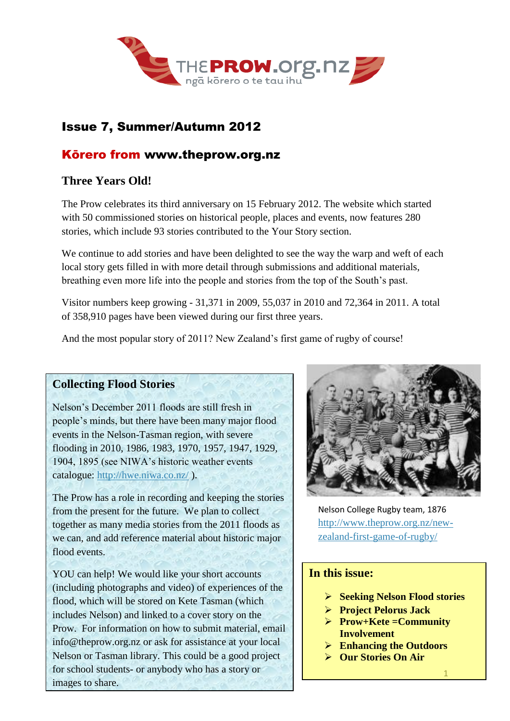

# Issue 7, Summer/Autumn 2012

## Kōrero from www.theprow.org.nz

# **Three Years Old!**

The Prow celebrates its third anniversary on 15 February 2012. The website which started with 50 commissioned stories on historical people, places and events, now features 280 stories, which include 93 stories contributed to the Your Story section.

We continue to add stories and have been delighted to see the way the warp and weft of each local story gets filled in with more detail through submissions and additional materials, breathing even more life into the people and stories from the top of the South's past.

Visitor numbers keep growing - 31,371 in 2009, 55,037 in 2010 and 72,364 in 2011. A total of 358,910 pages have been viewed during our first three years.

And the most popular story of 2011? New Zealand's first game of rugby of course!

### **Collecting Flood Stories**

Nelson's December 2011 floods are still fresh in people's minds, but there have been many major flood events in the Nelson-Tasman region, with severe flooding in 2010, 1986, 1983, 1970, 1957, 1947, 1929, 1904, 1895 (see NIWA's historic weather events catalogue:<http://hwe.niwa.co.nz/> ).

The Prow has a role in recording and keeping the stories from the present for the future. We plan to collect together as many media stories from the 2011 floods as we can, and add reference material about historic major flood events.

YOU can help! We would like your short accounts (including photographs and video) of experiences of the flood, which will be stored on Kete Tasman (which includes Nelson) and linked to a cover story on the Prow. For information on how to submit material, email [info@theprow.org.nz](mailto:info@theprow.org.nz) or ask for assistance at your local Nelson or Tasman library. This could be a good project for school students- or anybody who has a story or images to share.



Nelson College Rugby team, 1876 [http://www.theprow.org.nz/new](http://www.theprow.org.nz/new-zealand-first-game-of-rugby/)[zealand-first-game-of-rugby/](http://www.theprow.org.nz/new-zealand-first-game-of-rugby/)

#### **In this issue:**

- **Seeking Nelson Flood stories**
- **Project Pelorus Jack**
- **Prow+Kete =Community Involvement**
- **Enhancing the Outdoors**
- **Our Stories On Air**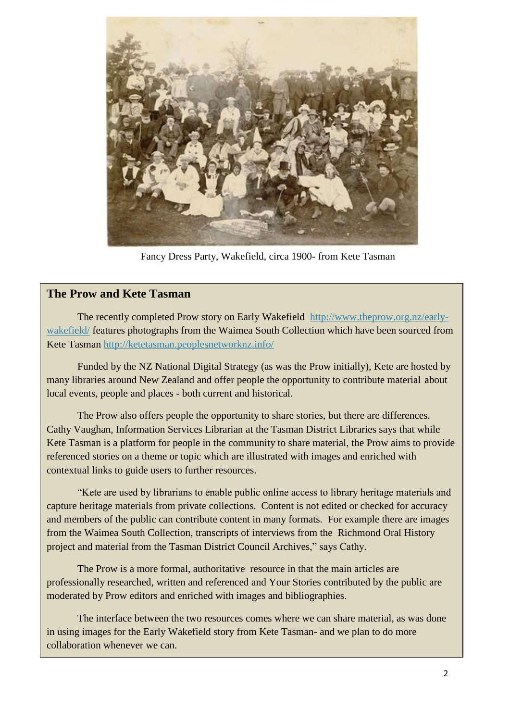

Fancy Dress Party, Wakefield, circa 1900- from Kete Tasman

#### **The Prow and Kete Tasman**

The recently completed Prow story on Early Wakefield [http://www.theprow.org.nz/early](http://www.theprow.org.nz/early-wakefield/)[wakefield/](http://www.theprow.org.nz/early-wakefield/) features photographs from the Waimea South Collection which have been sourced from Kete Tasman<http://ketetasman.peoplesnetworknz.info/>

Funded by the NZ National Digital Strategy (as was the Prow initially), Kete are hosted by many libraries around New Zealand and offer people the opportunity to contribute material about local events, people and places - both current and historical.

The Prow also offers people the opportunity to share stories, but there are differences. Cathy Vaughan, Information Services Librarian at the Tasman District Libraries says that while Kete Tasman is a platform for people in the community to share material, the Prow aims to provide referenced stories on a theme or topic which are illustrated with images and enriched with contextual links to guide users to further resources.

"Kete are used by librarians to enable public online access to library heritage materials and capture heritage materials from private collections. Content is not edited or checked for accuracy and members of the public can contribute content in many formats. For example there are images from the Waimea South Collection, transcripts of interviews from the Richmond Oral History project and material from the Tasman District Council Archives," says Cathy.

The Prow is a more formal, authoritative resource in that the main articles are professionally researched, written and referenced and Your Stories contributed by the public are moderated by Prow editors and enriched with images and bibliographies.

The interface between the two resources comes where we can share material, as was done in using images for the Early Wakefield story from Kete Tasman- and we plan to do more collaboration whenever we can.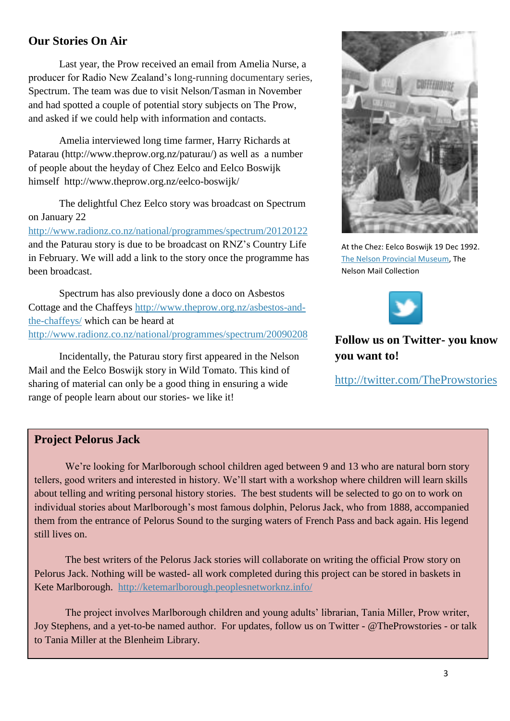### **Our Stories On Air**

Last year, the Prow received an email from Amelia Nurse, a producer for Radio New Zealand's long-running documentary series, Spectrum. The team was due to visit Nelson/Tasman in November and had spotted a couple of potential story subjects on The Prow, and asked if we could help with information and contacts.

Amelia interviewed long time farmer, Harry Richards at Patarau (http://www.theprow.org.nz/paturau/) as well as a number of people about the heyday of Chez Eelco and Eelco Boswijk himself http://www.theprow.org.nz/eelco-boswijk/

The delightful Chez Eelco story was broadcast on Spectrum on January 22

<http://www.radionz.co.nz/national/programmes/spectrum/20120122> and the Paturau story is due to be broadcast on RNZ's Country Life in February. We will add a link to the story once the programme has been broadcast.

Spectrum has also previously done a doco on Asbestos Cottage and the Chaffeys [http://www.theprow.org.nz/asbestos-and](http://www.theprow.org.nz/asbestos-and-the-chaffeys/)[the-chaffeys/](http://www.theprow.org.nz/asbestos-and-the-chaffeys/) which can be heard at <http://www.radionz.co.nz/national/programmes/spectrum/20090208>

Incidentally, the Paturau story first appeared in the Nelson Mail and the Eelco Boswijk story in Wild Tomato. This kind of sharing of material can only be a good thing in ensuring a wide range of people learn about our stories- we like it!



At the Chez: Eelco Boswijk 19 Dec 1992. [The Nelson Provincial Museum,](http://www.museumnp.org.nz/) The Nelson Mail Collection



## **Follow us on Twitter- you know you want to!**

<http://twitter.com/TheProwstories>

#### **Project Pelorus Jack**

We're looking for Marlborough school children aged between 9 and 13 who are natural born story tellers, good writers and interested in history. We'll start with a workshop where children will learn skills about telling and writing personal history stories. The best students will be selected to go on to work on individual stories about Marlborough's most famous dolphin, Pelorus Jack, who from 1888, accompanied them from the entrance of Pelorus Sound to the surging waters of French Pass and back again. His legend still lives on.

The best writers of the Pelorus Jack stories will collaborate on writing the official Prow story on Pelorus Jack. Nothing will be wasted- all work completed during this project can be stored in baskets in Kete Marlborough. <http://ketemarlborough.peoplesnetworknz.info/>

The project involves Marlborough children and young adults' librarian, Tania Miller, Prow writer, Joy Stephens, and a yet-to-be named author. For updates, follow us on Twitter - @TheProwstories - or talk to Tania Miller at the Blenheim Library.